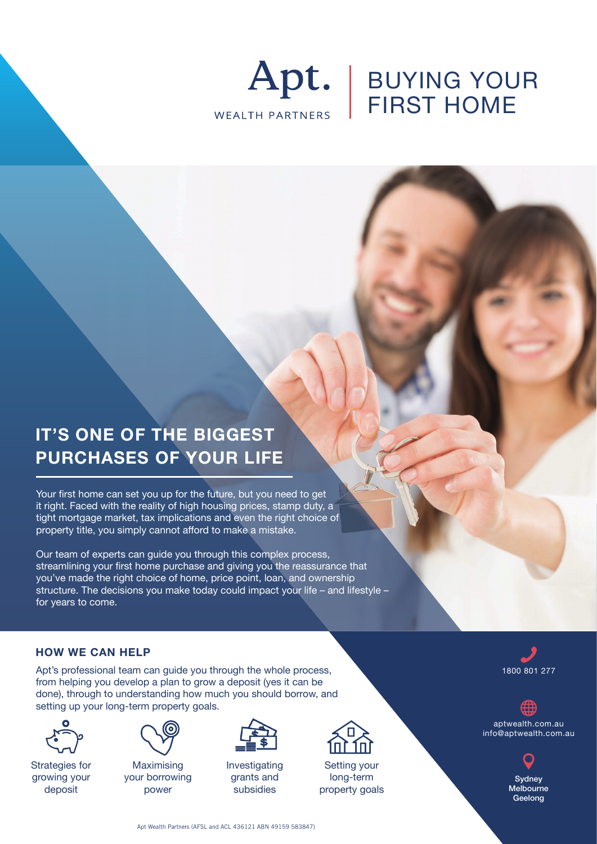

# BUYING YOUR FIRST HOME

## **IT'S ONE OF THE BIGGEST PURCHASES OF YOUR LIFE**

Your first home can set you up for the future, but you need to get it right. Faced with the reality of high housing prices, stamp duty, a tight mortgage market, tax implications and even the right choice of property title, you simply cannot afford to make a mistake.

Our team of experts can guide you through this complex process, streamlining your first home purchase and giving you the reassurance that you've made the right choice of home, price point, loan, and ownership structure. The decisions you make today could impact your life – and lifestyle – for years to come.

### **HOW WE CAN HELP**

Apt's professional team can guide you through the whole process, from helping you develop a plan to grow a deposit (yes it can be done), through to understanding how much you should borrow, and setting up your long-term property goals.



Strategies for growing your deposit



Maximising your borrowing power



Investigating grants and subsidies



Setting your long-term property goals



aptwealth.com.au info@aptwealth.com.au



Apt Wealth Partners (AFSL and ACL 436121 ABN 49159 583847)